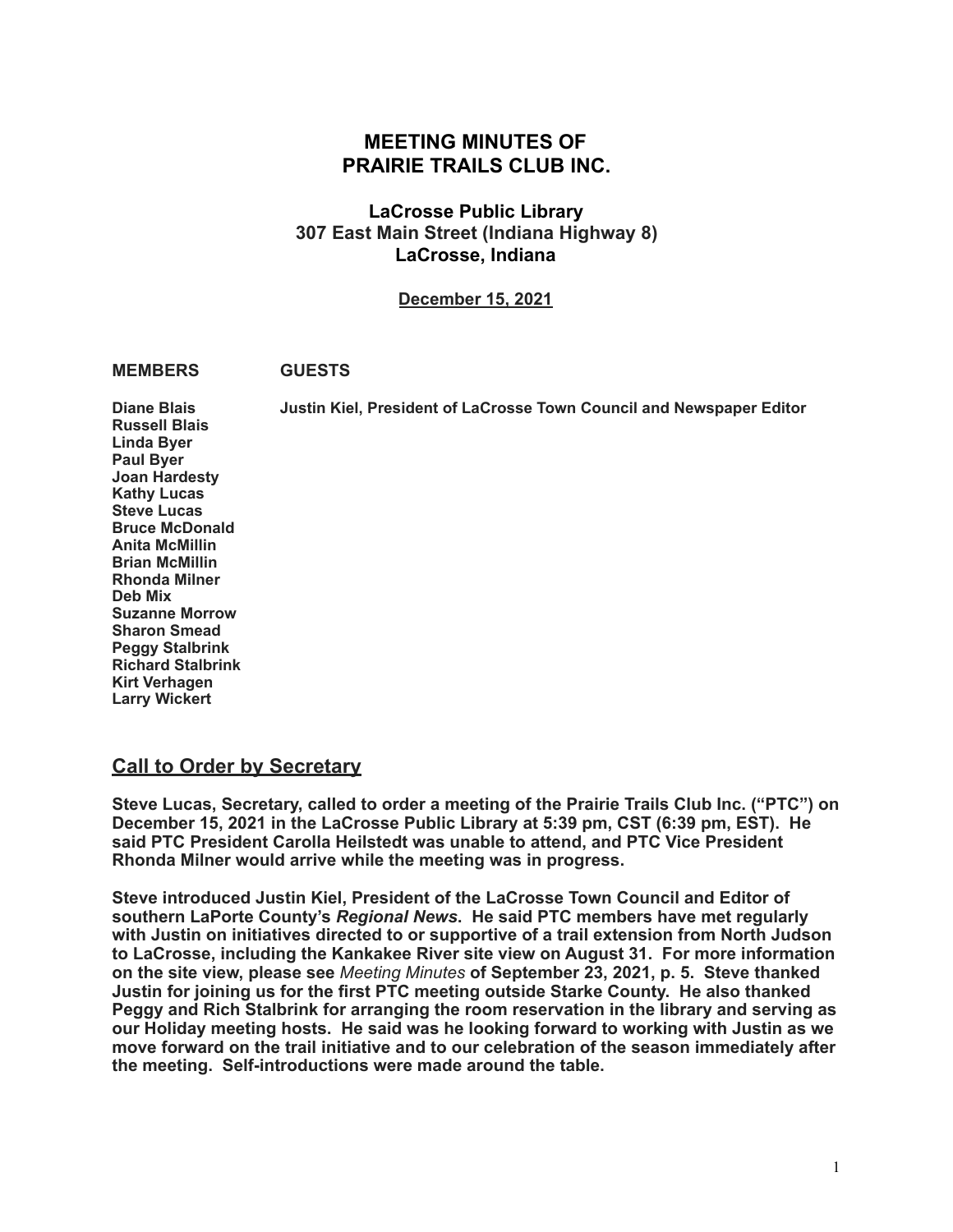# **MEETING MINUTES OF PRAIRIE TRAILS CLUB INC.**

## **LaCrosse Public Library 307 East Main Street (Indiana Highway 8) LaCrosse, Indiana**

**December 15, 2021**

#### **MEMBERS GUESTS**

**Diane Blais Justin Kiel, President of LaCrosse Town Council and Newspaper Editor Russell Blais Linda Byer Paul Byer Joan Hardesty Kathy Lucas Steve Lucas Bruce McDonald Anita McMillin Brian McMillin Rhonda Milner Deb Mix Suzanne Morrow Sharon Smead Peggy Stalbrink Richard Stalbrink Kirt Verhagen Larry Wickert** 

## **Call to Order by Secretary**

**Steve Lucas, Secretary, called to order a meeting of the Prairie Trails Club Inc. ("PTC") on December 15, 2021 in the LaCrosse Public Library at 5:39 pm, CST (6:39 pm, EST). He said PTC President Carolla Heilstedt was unable to attend, and PTC Vice President Rhonda Milner would arrive while the meeting was in progress.** 

**Steve introduced Justin Kiel, President of the LaCrosse Town Council and Editor of southern LaPorte County's** *Regional News***. He said PTC members have met regularly with Justin on initiatives directed to or supportive of a trail extension from North Judson to LaCrosse, including the Kankakee River site view on August 31. For more information on the site view, please see** *Meeting Minutes* **of September 23, 2021, p. 5. Steve thanked Justin for joining us for the first PTC meeting outside Starke County. He also thanked Peggy and Rich Stalbrink for arranging the room reservation in the library and serving as our Holiday meeting hosts. He said was he looking forward to working with Justin as we move forward on the trail initiative and to our celebration of the season immediately after the meeting. Self-introductions were made around the table.**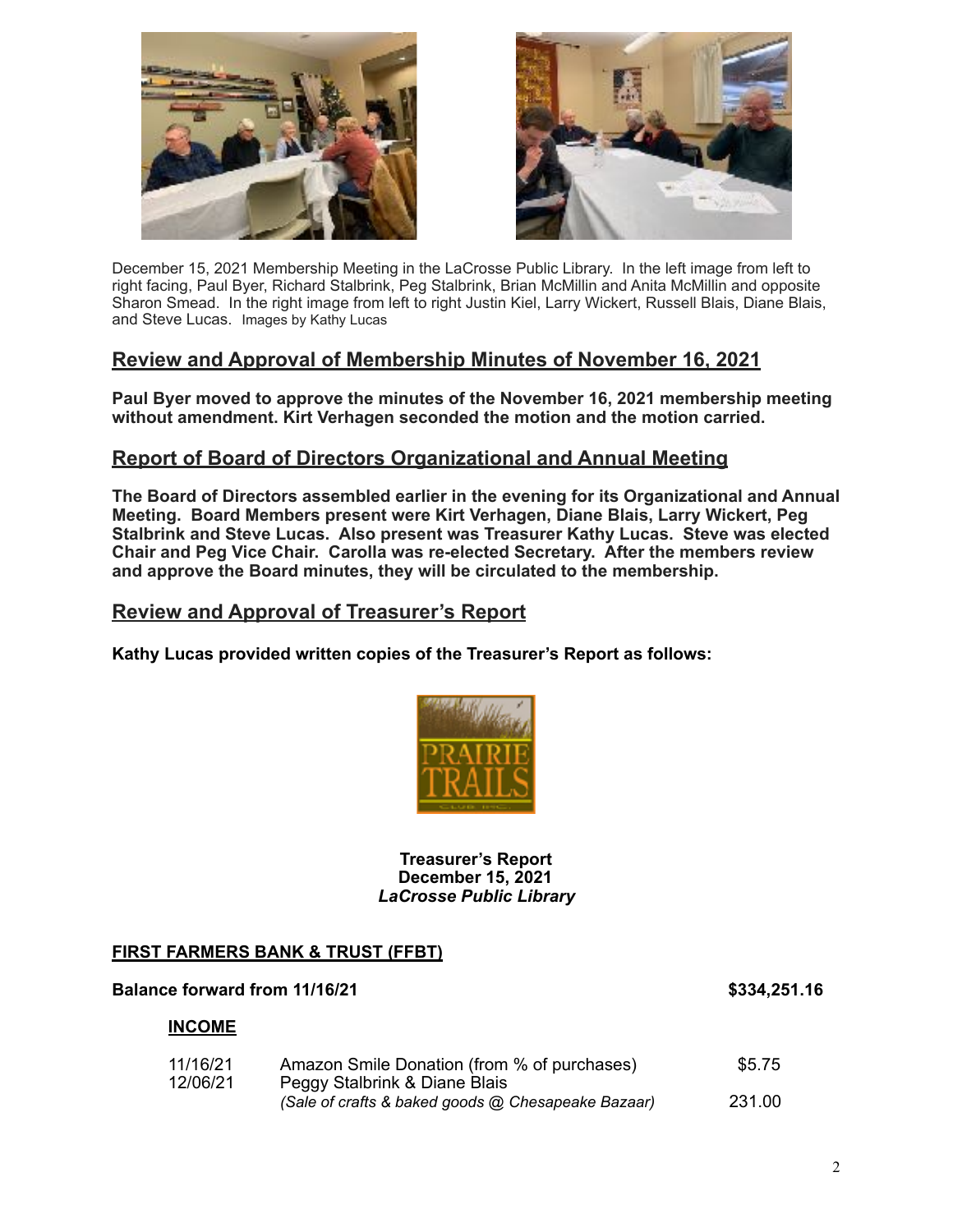



December 15, 2021 Membership Meeting in the LaCrosse Public Library. In the left image from left to right facing, Paul Byer, Richard Stalbrink, Peg Stalbrink, Brian McMillin and Anita McMillin and opposite Sharon Smead. In the right image from left to right Justin Kiel, Larry Wickert, Russell Blais, Diane Blais, and Steve Lucas. Images by Kathy Lucas

## **Review and Approval of Membership Minutes of November 16, 2021**

**Paul Byer moved to approve the minutes of the November 16, 2021 membership meeting without amendment. Kirt Verhagen seconded the motion and the motion carried.** 

## **Report of Board of Directors Organizational and Annual Meeting**

**The Board of Directors assembled earlier in the evening for its Organizational and Annual Meeting. Board Members present were Kirt Verhagen, Diane Blais, Larry Wickert, Peg Stalbrink and Steve Lucas. Also present was Treasurer Kathy Lucas. Steve was elected Chair and Peg Vice Chair. Carolla was re-elected Secretary. After the members review and approve the Board minutes, they will be circulated to the membership.** 

## **Review and Approval of Treasurer's Report**

**Kathy Lucas provided written copies of the Treasurer's Report as follows:** 



#### **Treasurer's Report December 15, 2021**  *LaCrosse Public Library*

## **FIRST FARMERS BANK & TRUST (FFBT)**

| <b>Balance forward from 11/16/21</b> |                                                                              | \$334,251.16 |
|--------------------------------------|------------------------------------------------------------------------------|--------------|
| <b>INCOME</b>                        |                                                                              |              |
| 11/16/21<br>12/06/21                 | Amazon Smile Donation (from % of purchases)<br>Peggy Stalbrink & Diane Blais | \$5.75       |
|                                      | (Sale of crafts & baked goods @ Chesapeake Bazaar)                           | 231.00       |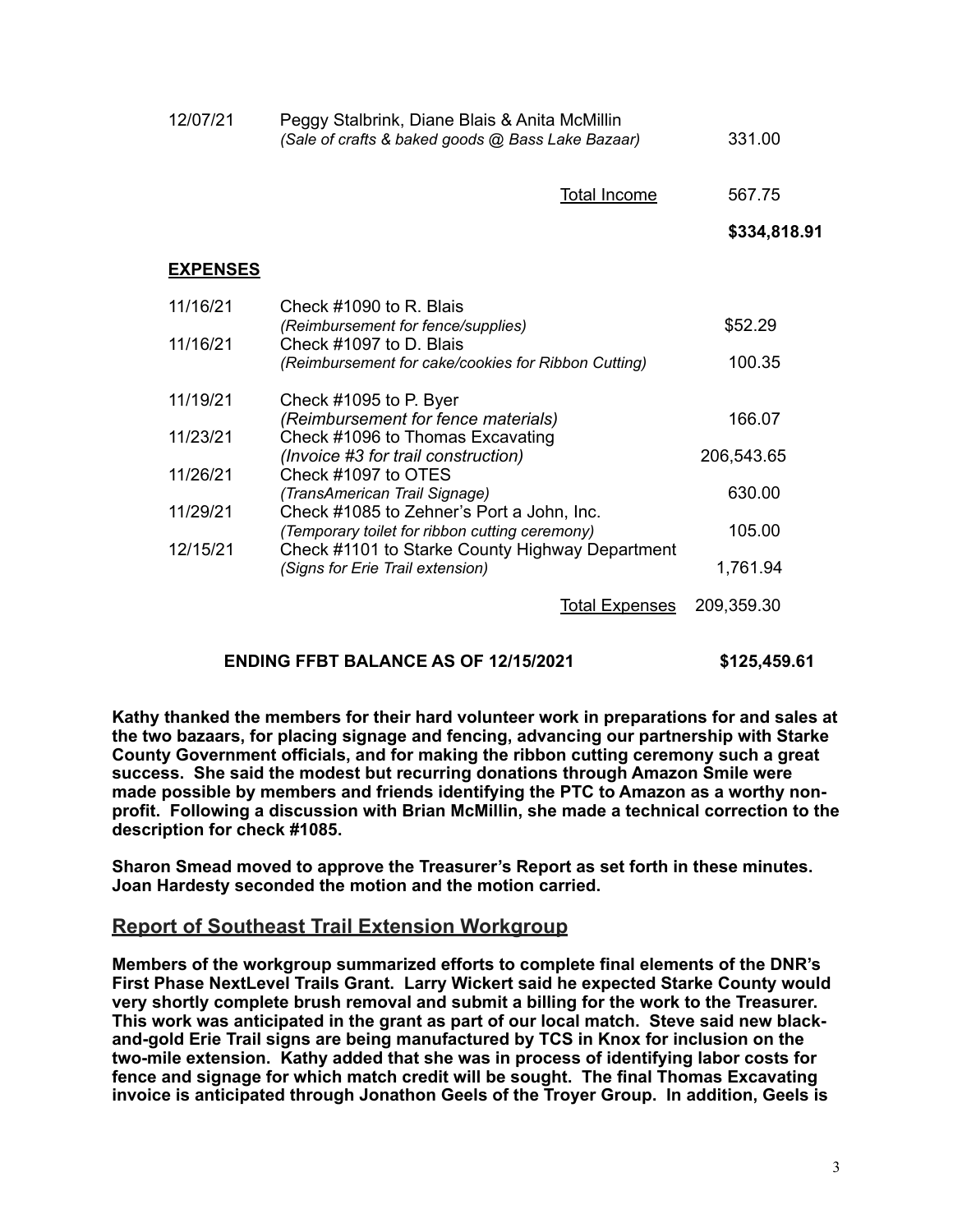| 12/07/21        | Peggy Stalbrink, Diane Blais & Anita McMillin<br>(Sale of crafts & baked goods @ Bass Lake Bazaar)             | 331.00               |
|-----------------|----------------------------------------------------------------------------------------------------------------|----------------------|
|                 | <b>Total Income</b>                                                                                            | 567.75               |
|                 |                                                                                                                | \$334,818.91         |
| <b>EXPENSES</b> |                                                                                                                |                      |
| 11/16/21        | Check #1090 to R. Blais<br>(Reimbursement for fence/supplies)                                                  | \$52.29              |
| 11/16/21        | Check #1097 to D. Blais<br>(Reimbursement for cake/cookies for Ribbon Cutting)                                 | 100.35               |
| 11/19/21        | Check #1095 to P. Byer                                                                                         |                      |
| 11/23/21        | (Reimbursement for fence materials)<br>Check #1096 to Thomas Excavating<br>(Invoice #3 for trail construction) | 166.07<br>206,543.65 |
| 11/26/21        | Check #1097 to OTES<br>(TransAmerican Trail Signage)                                                           | 630.00               |
| 11/29/21        | Check #1085 to Zehner's Port a John, Inc.<br>(Temporary toilet for ribbon cutting ceremony)                    | 105.00               |
| 12/15/21        | Check #1101 to Starke County Highway Department<br>(Signs for Erie Trail extension)                            | 1,761.94             |
|                 | <b>Total Expenses</b>                                                                                          | 209,359.30           |

## **ENDING FFBT BALANCE AS OF 12/15/2021 \$125,459.61**

**Kathy thanked the members for their hard volunteer work in preparations for and sales at the two bazaars, for placing signage and fencing, advancing our partnership with Starke County Government officials, and for making the ribbon cutting ceremony such a great success. She said the modest but recurring donations through Amazon Smile were made possible by members and friends identifying the PTC to Amazon as a worthy nonprofit. Following a discussion with Brian McMillin, she made a technical correction to the description for check #1085.** 

**Sharon Smead moved to approve the Treasurer's Report as set forth in these minutes. Joan Hardesty seconded the motion and the motion carried.** 

## **Report of Southeast Trail Extension Workgroup**

**Members of the workgroup summarized efforts to complete final elements of the DNR's First Phase NextLevel Trails Grant. Larry Wickert said he expected Starke County would very shortly complete brush removal and submit a billing for the work to the Treasurer. This work was anticipated in the grant as part of our local match. Steve said new blackand-gold Erie Trail signs are being manufactured by TCS in Knox for inclusion on the two-mile extension. Kathy added that she was in process of identifying labor costs for fence and signage for which match credit will be sought. The final Thomas Excavating invoice is anticipated through Jonathon Geels of the Troyer Group. In addition, Geels is**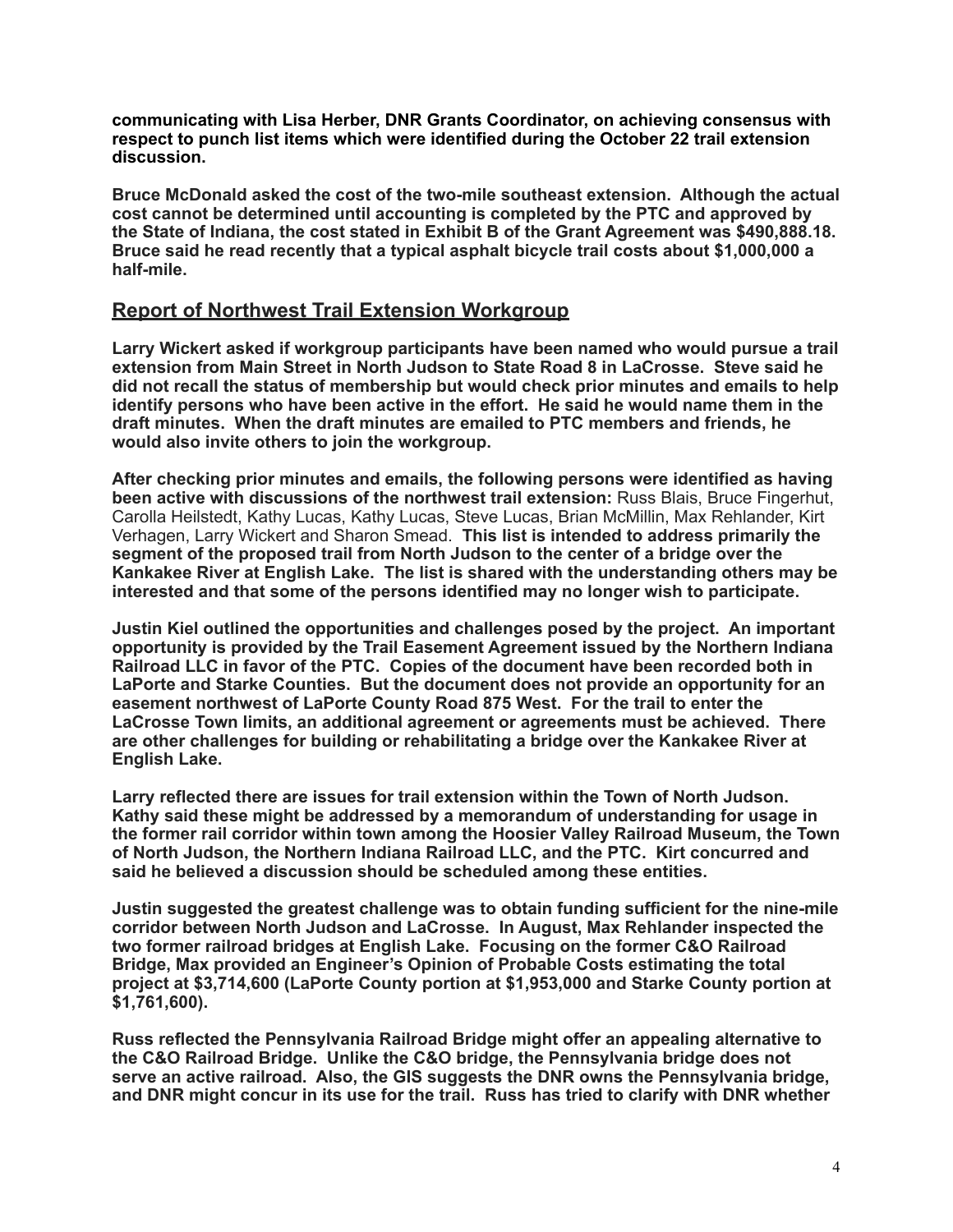**communicating with Lisa Herber, DNR Grants Coordinator, on achieving consensus with respect to punch list items which were identified during the October 22 trail extension discussion.** 

**Bruce McDonald asked the cost of the two-mile southeast extension. Although the actual cost cannot be determined until accounting is completed by the PTC and approved by the State of Indiana, the cost stated in Exhibit B of the Grant Agreement was \$490,888.18. Bruce said he read recently that a typical asphalt bicycle trail costs about \$1,000,000 a half-mile.** 

# **Report of Northwest Trail Extension Workgroup**

**Larry Wickert asked if workgroup participants have been named who would pursue a trail extension from Main Street in North Judson to State Road 8 in LaCrosse. Steve said he did not recall the status of membership but would check prior minutes and emails to help identify persons who have been active in the effort. He said he would name them in the draft minutes. When the draft minutes are emailed to PTC members and friends, he would also invite others to join the workgroup.** 

**After checking prior minutes and emails, the following persons were identified as having been active with discussions of the northwest trail extension:** Russ Blais, Bruce Fingerhut, Carolla Heilstedt, Kathy Lucas, Kathy Lucas, Steve Lucas, Brian McMillin, Max Rehlander, Kirt Verhagen, Larry Wickert and Sharon Smead. **This list is intended to address primarily the segment of the proposed trail from North Judson to the center of a bridge over the Kankakee River at English Lake. The list is shared with the understanding others may be interested and that some of the persons identified may no longer wish to participate.** 

**Justin Kiel outlined the opportunities and challenges posed by the project. An important opportunity is provided by the Trail Easement Agreement issued by the Northern Indiana Railroad LLC in favor of the PTC. Copies of the document have been recorded both in LaPorte and Starke Counties. But the document does not provide an opportunity for an easement northwest of LaPorte County Road 875 West. For the trail to enter the LaCrosse Town limits, an additional agreement or agreements must be achieved. There are other challenges for building or rehabilitating a bridge over the Kankakee River at English Lake.** 

**Larry reflected there are issues for trail extension within the Town of North Judson. Kathy said these might be addressed by a memorandum of understanding for usage in the former rail corridor within town among the Hoosier Valley Railroad Museum, the Town of North Judson, the Northern Indiana Railroad LLC, and the PTC. Kirt concurred and said he believed a discussion should be scheduled among these entities.** 

**Justin suggested the greatest challenge was to obtain funding sufficient for the nine-mile corridor between North Judson and LaCrosse. In August, Max Rehlander inspected the two former railroad bridges at English Lake. Focusing on the former C&O Railroad Bridge, Max provided an Engineer's Opinion of Probable Costs estimating the total project at \$3,714,600 (LaPorte County portion at \$1,953,000 and Starke County portion at \$1,761,600).** 

**Russ reflected the Pennsylvania Railroad Bridge might offer an appealing alternative to the C&O Railroad Bridge. Unlike the C&O bridge, the Pennsylvania bridge does not serve an active railroad. Also, the GIS suggests the DNR owns the Pennsylvania bridge, and DNR might concur in its use for the trail. Russ has tried to clarify with DNR whether**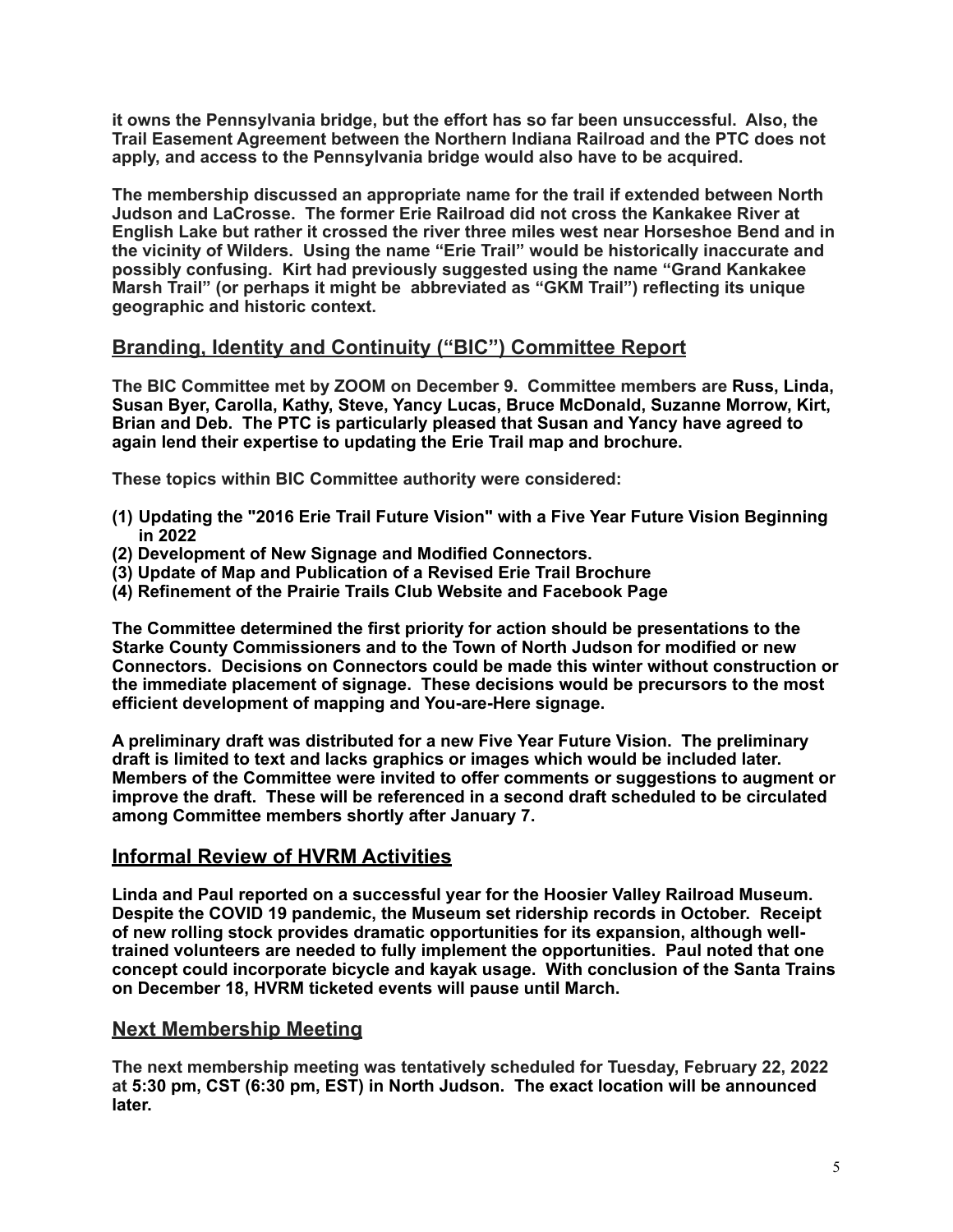**it owns the Pennsylvania bridge, but the effort has so far been unsuccessful. Also, the Trail Easement Agreement between the Northern Indiana Railroad and the PTC does not apply, and access to the Pennsylvania bridge would also have to be acquired.** 

**The membership discussed an appropriate name for the trail if extended between North Judson and LaCrosse. The former Erie Railroad did not cross the Kankakee River at English Lake but rather it crossed the river three miles west near Horseshoe Bend and in the vicinity of Wilders. Using the name "Erie Trail" would be historically inaccurate and possibly confusing. Kirt had previously suggested using the name "Grand Kankakee Marsh Trail" (or perhaps it might be abbreviated as "GKM Trail") reflecting its unique geographic and historic context.** 

## **Branding, Identity and Continuity ("BIC") Committee Report**

**The BIC Committee met by ZOOM on December 9. Committee members are Russ, Linda, Susan Byer, Carolla, Kathy, Steve, Yancy Lucas, Bruce McDonald, Suzanne Morrow, Kirt, Brian and Deb. The PTC is particularly pleased that Susan and Yancy have agreed to again lend their expertise to updating the Erie Trail map and brochure.**

**These topics within BIC Committee authority were considered:** 

- **(1) Updating the "2016 Erie Trail Future Vision" with a Five Year Future Vision Beginning in 2022**
- **(2) Development of New Signage and Modified Connectors.**
- **(3) Update of Map and Publication of a Revised Erie Trail Brochure**
- **(4) Refinement of the Prairie Trails Club Website and Facebook Page**

**The Committee determined the first priority for action should be presentations to the Starke County Commissioners and to the Town of North Judson for modified or new Connectors. Decisions on Connectors could be made this winter without construction or the immediate placement of signage. These decisions would be precursors to the most efficient development of mapping and You-are-Here signage.** 

**A preliminary draft was distributed for a new Five Year Future Vision. The preliminary draft is limited to text and lacks graphics or images which would be included later. Members of the Committee were invited to offer comments or suggestions to augment or improve the draft. These will be referenced in a second draft scheduled to be circulated among Committee members shortly after January 7.** 

## **Informal Review of HVRM Activities**

**Linda and Paul reported on a successful year for the Hoosier Valley Railroad Museum. Despite the COVID 19 pandemic, the Museum set ridership records in October. Receipt of new rolling stock provides dramatic opportunities for its expansion, although welltrained volunteers are needed to fully implement the opportunities. Paul noted that one concept could incorporate bicycle and kayak usage. With conclusion of the Santa Trains on December 18, HVRM ticketed events will pause until March.**

## **Next Membership Meeting**

**The next membership meeting was tentatively scheduled for Tuesday, February 22, 2022 at 5:30 pm, CST (6:30 pm, EST) in North Judson. The exact location will be announced later.**